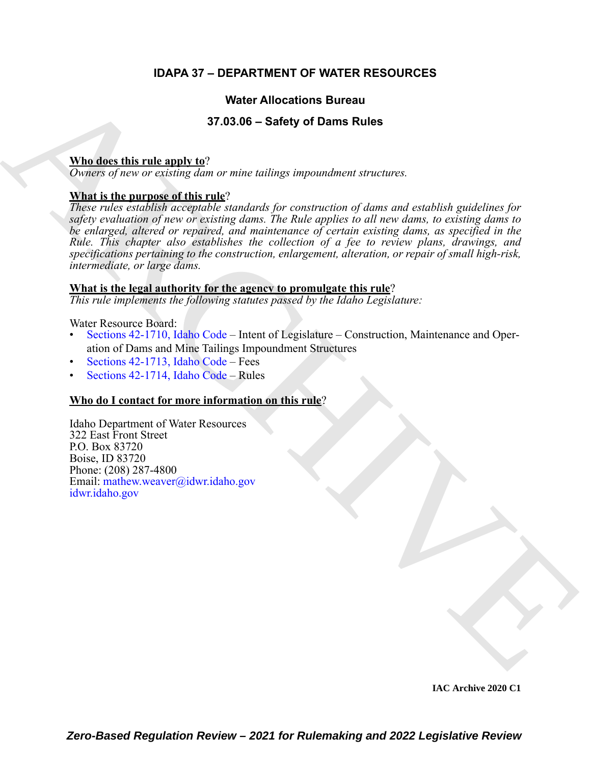# **IDAPA 37 – DEPARTMENT OF WATER RESOURCES**

# **Water Allocations Bureau**

# **37.03.06 – Safety of Dams Rules**

# **Who does this rule apply to**?

*Owners of new or existing dam or mine tailings impoundment structures.*

# **What is the purpose of this rule**?

Water Allocations Bureau<br>
37.03.06 - Safety of Dams Rules<br>
Mhades this rule and the archives  $\alpha$ <br>
Orwins of such the archives  $\alpha$  are not available to reach the such<br>
The included to reach the proposedient, for encourag *These rules establish acceptable standards for construction of dams and establish guidelines for safety evaluation of new or existing dams. The Rule applies to all new dams, to existing dams to be enlarged, altered or repaired, and maintenance of certain existing dams, as specified in the Rule. This chapter also establishes the collection of a fee to review plans, drawings, and specifications pertaining to the construction, enlargement, alteration, or repair of small high-risk, intermediate, or large dams.*

#### **What is the legal authority for the agency to promulgate this rule**?

*This rule implements the following statutes passed by the Idaho Legislature:*

Water Resource Board:

- Sections 42-1710, Idaho Code Intent of Legislature Construction, Maintenance and Operation of Dams and Mine Tailings Impoundment Structures
- Sections 42-1713, Idaho Code Fees
- Sections 42-1714, Idaho Code Rules

# **Who do I contact for more information on this rule**?

Idaho Department of Water Resources 322 East Front Street P.O. Box 83720 Boise, ID 83720 Phone: (208) 287-4800 Email: mathew.weaver@idwr.idaho.gov idwr.idaho.gov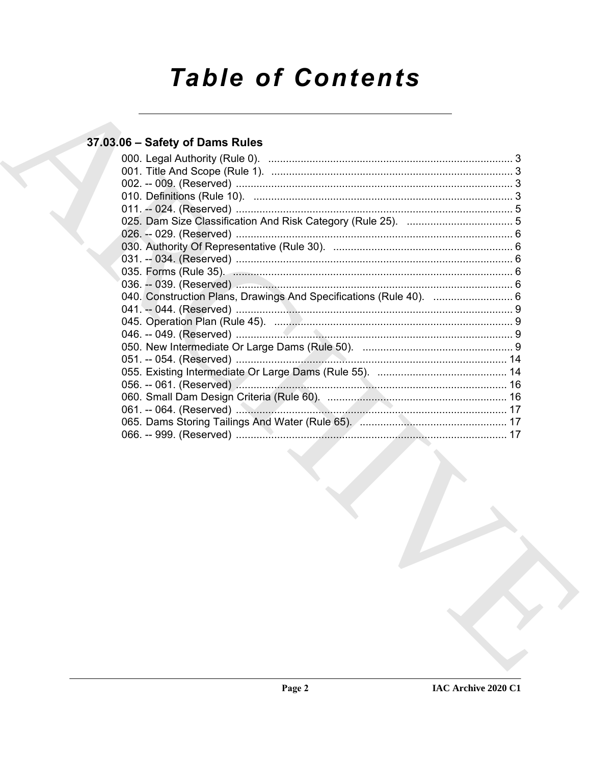# **Table of Contents**

# 37.03.06 - Safety of Dams Rules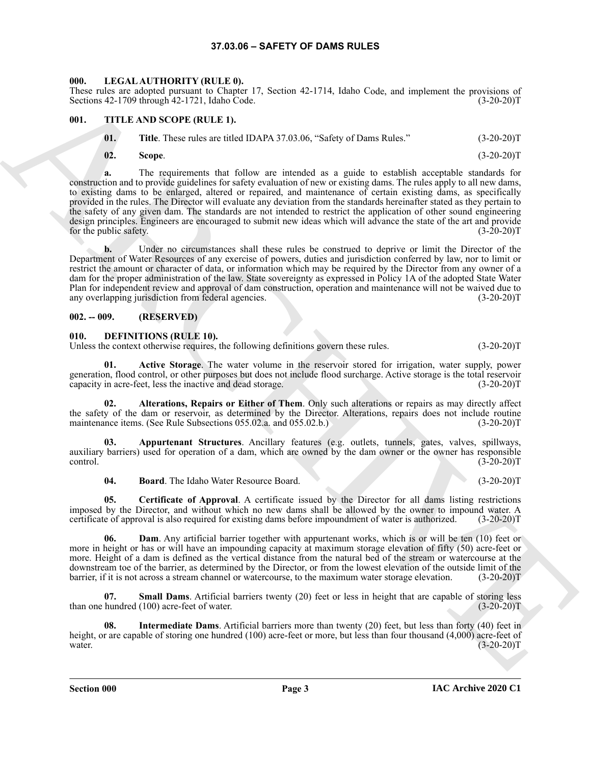#### **37.03.06 – SAFETY OF DAMS RULES**

#### <span id="page-2-14"></span><span id="page-2-1"></span><span id="page-2-0"></span>**000. LEGAL AUTHORITY (RULE 0).**

These rules are adopted pursuant to Chapter 17, Section 42-1714, Idaho Code, and implement the provisions of Sections 42-1709 through 42-1721, Idaho Code. (3-20-20)T

#### <span id="page-2-2"></span>**001. TITLE AND SCOPE (RULE 1).**

<span id="page-2-15"></span>

| 01. | Title. These rules are titled IDAPA 37.03.06, "Safety of Dams Rules." | $(3-20-20)T$ |
|-----|-----------------------------------------------------------------------|--------------|
|     |                                                                       |              |

**02. Scope**. (3-20-20)T

Hence the state showed the Cheron is a state of the state showed in a state of the properties.<br> **ARCHIVE ART CONSULTER CONSULTER CONSULTER CONSULTER CONSULTER CONSULTER CONSULTER CONSULTER CONSULTER CONSULTER CONSULTER CO a.** The requirements that follow are intended as a guide to establish acceptable standards for construction and to provide guidelines for safety evaluation of new or existing dams. The rules apply to all new dams, to existing dams to be enlarged, altered or repaired, and maintenance of certain existing dams, as specifically provided in the rules. The Director will evaluate any deviation from the standards hereinafter stated as they pertain to the safety of any given dam. The standards are not intended to restrict the application of other sound engineering design principles. Engineers are encouraged to submit new ideas which will advance the state of the art and provide for the public safety. (3-20-20)T

**b.** Under no circumstances shall these rules be construed to deprive or limit the Director of the Department of Water Resources of any exercise of powers, duties and jurisdiction conferred by law, nor to limit or restrict the amount or character of data, or information which may be required by the Director from any owner of a dam for the proper administration of the law. State sovereignty as expressed in Policy 1A of the adopted State Water Plan for independent review and approval of dam construction, operation and maintenance will not be waived due to any overlapping jurisdiction from federal agencies. (3-20-20)T

#### <span id="page-2-3"></span>**002. -- 009. (RESERVED)**

#### <span id="page-2-5"></span><span id="page-2-4"></span>**010. DEFINITIONS (RULE 10).**

Unless the context otherwise requires, the following definitions govern these rules. (3-20-20)T

<span id="page-2-6"></span>**01. Active Storage**. The water volume in the reservoir stored for irrigation, water supply, power generation, flood control, or other purposes but does not include flood surcharge. Active storage is the total reservoir capacity in acre-feet, less the inactive and dead storage. (3-20-20)T

<span id="page-2-7"></span>**02. Alterations, Repairs or Either of Them**. Only such alterations or repairs as may directly affect the safety of the dam or reservoir, as determined by the Director. Alterations, repairs does not include routine maintenance items. (See Rule Subsections 055.02.a. and 055.02.b.) (3-20-20) maintenance items. (See Rule Subsections 055.02.a. and 055.02.b.)

**03. Appurtenant Structures**. Ancillary features (e.g. outlets, tunnels, gates, valves, spillways, auxiliary barriers) used for operation of a dam, which are owned by the dam owner or the owner has responsible control. (3-20-20)  $\frac{1}{3-20-20}$ T

<span id="page-2-11"></span><span id="page-2-10"></span><span id="page-2-9"></span><span id="page-2-8"></span>**04. Board**. The Idaho Water Resource Board. (3-20-20)T

**05. Certificate of Approval**. A certificate issued by the Director for all dams listing restrictions imposed by the Director, and without which no new dams shall be allowed by the owner to impound water. A certificate of approval is also required for existing dams before impoundment of water is authorized. (3-20-20)T

**06. Dam**. Any artificial barrier together with appurtenant works, which is or will be ten (10) feet or more in height or has or will have an impounding capacity at maximum storage elevation of fifty (50) acre-feet or more. Height of a dam is defined as the vertical distance from the natural bed of the stream or watercourse at the downstream toe of the barrier, as determined by the Director, or from the lowest elevation of the outside limit of the barrier, if it is not across a stream channel or watercourse, to the maximum water storage elevation. (3-20-20)T

<span id="page-2-13"></span>**07. Small Dams**. Artificial barriers twenty (20) feet or less in height that are capable of storing less hundred (100) acre-feet of water. (3-20-20) than one hundred  $(100)$  acre-feet of water.

<span id="page-2-12"></span>**08. Intermediate Dams**. Artificial barriers more than twenty (20) feet, but less than forty (40) feet in height, or are capable of storing one hundred (100) acre-feet or more, but less than four thousand (4,000) acre-feet of water.  $(3-20-20)T$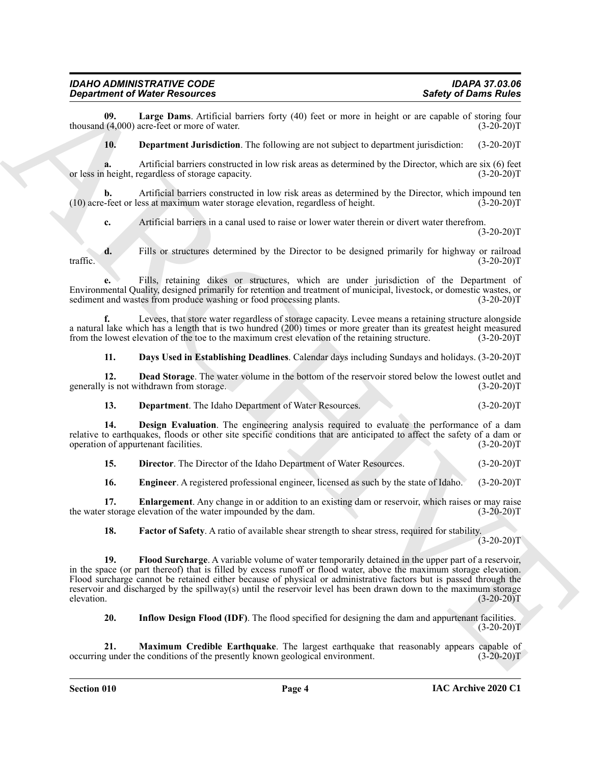**09.** Large Dams. Artificial barriers forty (40) feet or more in height or are capable of storing four (4,000) acre-feet or more of water. thousand  $(4,000)$  acre-feet or more of water.

*Department of Water Resources* 

<span id="page-3-11"></span><span id="page-3-3"></span>**10. Department Jurisdiction**. The following are not subject to department jurisdiction: (3-20-20)T

**a.** Artificial barriers constructed in low risk areas as determined by the Director, which are six (6) feet height, regardless of storage capacity. (3-20-20) or less in height, regardless of storage capacity.

**b.** Artificial barriers constructed in low risk areas as determined by the Director, which impound ten-feet or less at maximum water storage elevation, regardless of height. (3-20-20)  $(10)$  acre-feet or less at maximum water storage elevation, regardless of height.

**c.** Artificial barriers in a canal used to raise or lower water therein or divert water therefrom.  $(3-20-20)T$ 

**d.** Fills or structures determined by the Director to be designed primarily for highway or railroad (3-20-20) traffic.  $(3-20-20)T$ 

**e.** Fills, retaining dikes or structures, which are under jurisdiction of the Department of Environmental Quality, designed primarily for retention and treatment of municipal, livestock, or domestic wastes, or sediment and wastes from produce washing or food processing plants. (3-20-20)T

**f.** Levees, that store water regardless of storage capacity. Levee means a retaining structure alongside a natural lake which has a length that is two hundred (200) times or more greater than its greatest height measured from the lowest elevation of the toe to the maximum crest elevation of the retaining structure. (3-20-20)T

<span id="page-3-1"></span><span id="page-3-0"></span>**11. Days Used in Establishing Deadlines**. Calendar days including Sundays and holidays. (3-20-20)T

**12. Dead Storage**. The water volume in the bottom of the reservoir stored below the lowest outlet and generally is not withdrawn from storage. (3-20-20)T

<span id="page-3-4"></span><span id="page-3-2"></span>**13. Department**. The Idaho Department of Water Resources. (3-20-20)T

**14. Design Evaluation**. The engineering analysis required to evaluate the performance of a dam relative to earthquakes, floods or other site specific conditions that are anticipated to affect the safety of a dam or operation of appurtenant facilities. (3-20-20) operation of appurtenant facilities.

<span id="page-3-6"></span><span id="page-3-5"></span>**15. Director**. The Director of the Idaho Department of Water Resources. (3-20-20)T

<span id="page-3-7"></span>**16. Engineer**. A registered professional engineer, licensed as such by the state of Idaho. (3-20-20)T

**17. Enlargement**. Any change in or addition to an existing dam or reservoir, which raises or may raise the water storage elevation of the water impounded by the dam. (3-20-20)T

<span id="page-3-9"></span><span id="page-3-8"></span>**18.** Factor of Safety. A ratio of available shear strength to shear stress, required for stability.

 $(3-20-20)T$ 

**Experimental Web Research Control is the set of the set of the set of the set of the set of the set of the set of the set of the set of the set of the set of the set of the set of the set of the set of the set of the set 19. Flood Surcharge**. A variable volume of water temporarily detained in the upper part of a reservoir, in the space (or part thereof) that is filled by excess runoff or flood water, above the maximum storage elevation. Flood surcharge cannot be retained either because of physical or administrative factors but is passed through the reservoir and discharged by the spillway(s) until the reservoir level has been drawn down to the maximum storage elevation. (3-20-20)T

<span id="page-3-12"></span><span id="page-3-10"></span>**20. Inflow Design Flood (IDF)**. The flood specified for designing the dam and appurtenant facilities.  $(3-20-20)T$ 

**21. Maximum Credible Earthquake**. The largest earthquake that reasonably appears capable of occurring under the conditions of the presently known geological environment. (3-20-20)T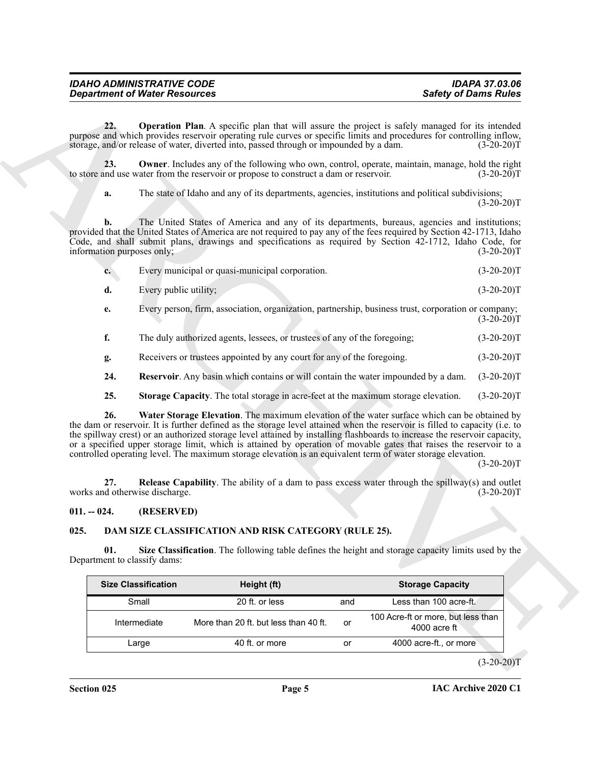<span id="page-4-5"></span><span id="page-4-4"></span>

| <b>IDAHO ADMINISTRATIVE CODE</b><br><b>Department of Water Resources</b> | <b>Safety of Dams Rules</b> |
|--------------------------------------------------------------------------|-----------------------------|
|                                                                          | <b>IDAPA 37.03.06</b>       |

|    | Every municipal or quasi-municipal corporation.                                              | $(3-20-20)T$ |
|----|----------------------------------------------------------------------------------------------|--------------|
| d. | Every public utility;                                                                        | $(3-20-20)T$ |
|    | Every person firm association organization pertpership business trust corporation or company |              |

<span id="page-4-9"></span><span id="page-4-8"></span><span id="page-4-7"></span>

|  | The duly authorized agents, lessees, or trustees of any of the foregoing; |  |  | $(3-20-20)T$ |
|--|---------------------------------------------------------------------------|--|--|--------------|
|--|---------------------------------------------------------------------------|--|--|--------------|

#### <span id="page-4-6"></span><span id="page-4-0"></span>**011. -- 024. (RESERVED)**

# <span id="page-4-3"></span><span id="page-4-2"></span><span id="page-4-1"></span>**025. DAM SIZE CLASSIFICATION AND RISK CATEGORY (RULE 25).**

|                                       | <b>Department of Water Resources</b> |                                                                                                                                                                                                                                                                                                                                                                                                                                                                                                                                                                                               |     | <b>Safety of Dams Rules</b>                        |              |
|---------------------------------------|--------------------------------------|-----------------------------------------------------------------------------------------------------------------------------------------------------------------------------------------------------------------------------------------------------------------------------------------------------------------------------------------------------------------------------------------------------------------------------------------------------------------------------------------------------------------------------------------------------------------------------------------------|-----|----------------------------------------------------|--------------|
| 22.                                   |                                      | <b>Operation Plan.</b> A specific plan that will assure the project is safely managed for its intended<br>purpose and which provides reservoir operating rule curves or specific limits and procedures for controlling inflow,<br>storage, and/or release of water, diverted into, passed through or impounded by a dam.                                                                                                                                                                                                                                                                      |     |                                                    | $(3-20-20)T$ |
| 23.                                   |                                      | <b>Owner</b> . Includes any of the following who own, control, operate, maintain, manage, hold the right<br>to store and use water from the reservoir or propose to construct a dam or reservoir.                                                                                                                                                                                                                                                                                                                                                                                             |     |                                                    | $(3-20-20)T$ |
| a.                                    |                                      | The state of Idaho and any of its departments, agencies, institutions and political subdivisions;                                                                                                                                                                                                                                                                                                                                                                                                                                                                                             |     |                                                    | $(3-20-20)T$ |
| b.<br>information purposes only;      |                                      | The United States of America and any of its departments, bureaus, agencies and institutions;<br>provided that the United States of America are not required to pay any of the fees required by Section 42-1713, Idaho<br>Code, and shall submit plans, drawings and specifications as required by Section 42-1712, Idaho Code, for                                                                                                                                                                                                                                                            |     |                                                    | $(3-20-20)T$ |
| $c_{\bullet}$                         |                                      | Every municipal or quasi-municipal corporation.                                                                                                                                                                                                                                                                                                                                                                                                                                                                                                                                               |     |                                                    | $(3-20-20)T$ |
| d.                                    | Every public utility;                |                                                                                                                                                                                                                                                                                                                                                                                                                                                                                                                                                                                               |     |                                                    | $(3-20-20)T$ |
| e.                                    |                                      | Every person, firm, association, organization, partnership, business trust, corporation or company;                                                                                                                                                                                                                                                                                                                                                                                                                                                                                           |     |                                                    | $(3-20-20)T$ |
| f.                                    |                                      | The duly authorized agents, lessees, or trustees of any of the foregoing;                                                                                                                                                                                                                                                                                                                                                                                                                                                                                                                     |     |                                                    | $(3-20-20)T$ |
| g.                                    |                                      | Receivers or trustees appointed by any court for any of the foregoing.                                                                                                                                                                                                                                                                                                                                                                                                                                                                                                                        |     |                                                    | $(3-20-20)T$ |
| 24.                                   |                                      | <b>Reservoir.</b> Any basin which contains or will contain the water impounded by a dam.                                                                                                                                                                                                                                                                                                                                                                                                                                                                                                      |     |                                                    | $(3-20-20)T$ |
| 25.                                   |                                      | Storage Capacity. The total storage in acre-feet at the maximum storage elevation.                                                                                                                                                                                                                                                                                                                                                                                                                                                                                                            |     |                                                    | $(3-20-20)T$ |
| 26.                                   |                                      | Water Storage Elevation. The maximum elevation of the water surface which can be obtained by<br>the dam or reservoir. It is further defined as the storage level attained when the reservoir is filled to capacity (i.e. to<br>the spillway crest) or an authorized storage level attained by installing flashboards to increase the reservoir capacity,<br>or a specified upper storage limit, which is attained by operation of movable gates that raises the reservoir to a<br>controlled operating level. The maximum storage elevation is an equivalent term of water storage elevation. |     |                                                    | $(3-20-20)T$ |
| 27.<br>works and otherwise discharge. |                                      | <b>Release Capability.</b> The ability of a dam to pass excess water through the spillway(s) and outlet                                                                                                                                                                                                                                                                                                                                                                                                                                                                                       |     |                                                    | $(3-20-20)T$ |
| $011. - 024.$                         | (RESERVED)                           |                                                                                                                                                                                                                                                                                                                                                                                                                                                                                                                                                                                               |     |                                                    |              |
| 025.                                  |                                      | DAM SIZE CLASSIFICATION AND RISK CATEGORY (RULE 25).                                                                                                                                                                                                                                                                                                                                                                                                                                                                                                                                          |     |                                                    |              |
| 01.<br>Department to classify dams:   |                                      | Size Classification. The following table defines the height and storage capacity limits used by the                                                                                                                                                                                                                                                                                                                                                                                                                                                                                           |     |                                                    |              |
|                                       | <b>Size Classification</b>           | Height (ft)                                                                                                                                                                                                                                                                                                                                                                                                                                                                                                                                                                                   |     | <b>Storage Capacity</b>                            |              |
|                                       | Small                                | 20 ft. or less                                                                                                                                                                                                                                                                                                                                                                                                                                                                                                                                                                                | and | Less than 100 acre-ft.                             |              |
|                                       | Intermediate                         | More than 20 ft. but less than 40 ft.                                                                                                                                                                                                                                                                                                                                                                                                                                                                                                                                                         | or  | 100 Acre-ft or more, but less than<br>4000 acre ft |              |
|                                       | Large                                | 40 ft. or more                                                                                                                                                                                                                                                                                                                                                                                                                                                                                                                                                                                | or  | 4000 acre-ft., or more                             |              |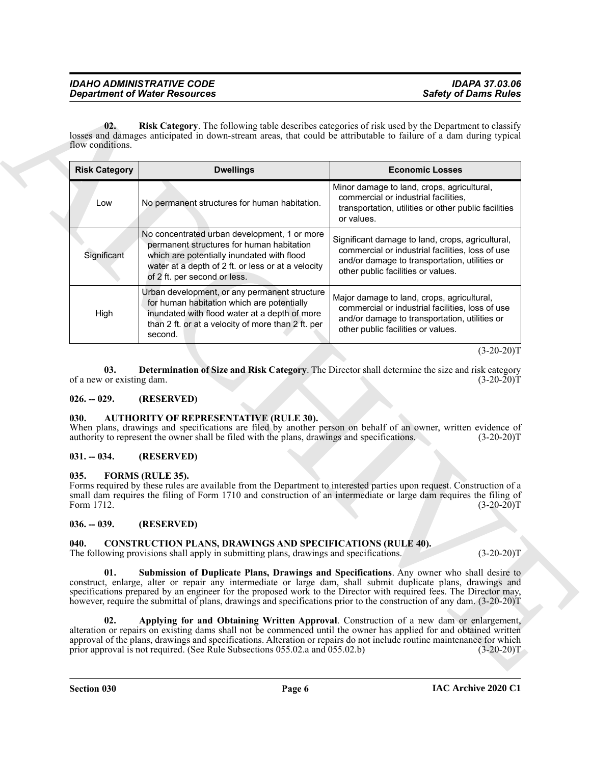<span id="page-5-11"></span>

| Minor damage to land, crops, agricultural,<br>commercial or industrial facilities,<br>No permanent structures for human habitation.<br>Low<br>or values.<br>No concentrated urban development, 1 or more<br>permanent structures for human habitation<br>Significant<br>which are potentially inundated with flood<br>water at a depth of 2 ft. or less or at a velocity<br>other public facilities or values.<br>of 2 ft. per second or less.<br>Urban development, or any permanent structure<br>Major damage to land, crops, agricultural,<br>for human habitation which are potentially<br>inundated with flood water at a depth of more<br>High<br>than 2 ft. or at a velocity of more than 2 ft. per<br>other public facilities or values.<br>second.<br>03.<br>of a new or existing dam.<br>(RESERVED)<br><b>AUTHORITY OF REPRESENTATIVE (RULE 30).</b><br>When plans, drawings and specifications are filed by another person on behalf of an owner, written evidence of<br>authority to represent the owner shall be filed with the plans, drawings and specifications.<br>(RESERVED)<br>FORMS (RULE 35).<br>Forms required by these rules are available from the Department to interested parties upon request. Construction of a<br>small dam requires the filing of Form 1710 and construction of an intermediate or large dam requires the filing of<br>(RESERVED)<br><b>CONSTRUCTION PLANS, DRAWINGS AND SPECIFICATIONS (RULE 40).</b><br>The following provisions shall apply in submitting plans, drawings and specifications.<br>01.<br>Submission of Duplicate Plans, Drawings and Specifications. Any owner who shall desire to<br>construct, enlarge, alter or repair any intermediate or large dam, shall submit duplicate plans, drawings and | <b>Risk Category</b> | <b>Dwellings</b>                                                                                                 | <b>Economic Losses</b>                                                                                                                                |  |  |
|---------------------------------------------------------------------------------------------------------------------------------------------------------------------------------------------------------------------------------------------------------------------------------------------------------------------------------------------------------------------------------------------------------------------------------------------------------------------------------------------------------------------------------------------------------------------------------------------------------------------------------------------------------------------------------------------------------------------------------------------------------------------------------------------------------------------------------------------------------------------------------------------------------------------------------------------------------------------------------------------------------------------------------------------------------------------------------------------------------------------------------------------------------------------------------------------------------------------------------------------------------------------------------------------------------------------------------------------------------------------------------------------------------------------------------------------------------------------------------------------------------------------------------------------------------------------------------------------------------------------------------------------------------------------------------------------------------------------------------------------------------------------|----------------------|------------------------------------------------------------------------------------------------------------------|-------------------------------------------------------------------------------------------------------------------------------------------------------|--|--|
|                                                                                                                                                                                                                                                                                                                                                                                                                                                                                                                                                                                                                                                                                                                                                                                                                                                                                                                                                                                                                                                                                                                                                                                                                                                                                                                                                                                                                                                                                                                                                                                                                                                                                                                                                                     |                      |                                                                                                                  | transportation, utilities or other public facilities                                                                                                  |  |  |
|                                                                                                                                                                                                                                                                                                                                                                                                                                                                                                                                                                                                                                                                                                                                                                                                                                                                                                                                                                                                                                                                                                                                                                                                                                                                                                                                                                                                                                                                                                                                                                                                                                                                                                                                                                     |                      |                                                                                                                  | Significant damage to land, crops, agricultural,<br>commercial or industrial facilities, loss of use<br>and/or damage to transportation, utilities or |  |  |
|                                                                                                                                                                                                                                                                                                                                                                                                                                                                                                                                                                                                                                                                                                                                                                                                                                                                                                                                                                                                                                                                                                                                                                                                                                                                                                                                                                                                                                                                                                                                                                                                                                                                                                                                                                     |                      |                                                                                                                  | commercial or industrial facilities, loss of use<br>and/or damage to transportation, utilities or                                                     |  |  |
|                                                                                                                                                                                                                                                                                                                                                                                                                                                                                                                                                                                                                                                                                                                                                                                                                                                                                                                                                                                                                                                                                                                                                                                                                                                                                                                                                                                                                                                                                                                                                                                                                                                                                                                                                                     |                      |                                                                                                                  | $(3-20-20)T$                                                                                                                                          |  |  |
|                                                                                                                                                                                                                                                                                                                                                                                                                                                                                                                                                                                                                                                                                                                                                                                                                                                                                                                                                                                                                                                                                                                                                                                                                                                                                                                                                                                                                                                                                                                                                                                                                                                                                                                                                                     |                      | Determination of Size and Risk Category. The Director shall determine the size and risk category<br>$(3-20-20)T$ |                                                                                                                                                       |  |  |
|                                                                                                                                                                                                                                                                                                                                                                                                                                                                                                                                                                                                                                                                                                                                                                                                                                                                                                                                                                                                                                                                                                                                                                                                                                                                                                                                                                                                                                                                                                                                                                                                                                                                                                                                                                     | $026. - 029.$        |                                                                                                                  |                                                                                                                                                       |  |  |
|                                                                                                                                                                                                                                                                                                                                                                                                                                                                                                                                                                                                                                                                                                                                                                                                                                                                                                                                                                                                                                                                                                                                                                                                                                                                                                                                                                                                                                                                                                                                                                                                                                                                                                                                                                     | 030.                 | $(3-20-20)T$                                                                                                     |                                                                                                                                                       |  |  |
|                                                                                                                                                                                                                                                                                                                                                                                                                                                                                                                                                                                                                                                                                                                                                                                                                                                                                                                                                                                                                                                                                                                                                                                                                                                                                                                                                                                                                                                                                                                                                                                                                                                                                                                                                                     | $031. - 034.$        |                                                                                                                  |                                                                                                                                                       |  |  |
|                                                                                                                                                                                                                                                                                                                                                                                                                                                                                                                                                                                                                                                                                                                                                                                                                                                                                                                                                                                                                                                                                                                                                                                                                                                                                                                                                                                                                                                                                                                                                                                                                                                                                                                                                                     | 035.<br>Form 1712.   | $(3-20-20)T$                                                                                                     |                                                                                                                                                       |  |  |
|                                                                                                                                                                                                                                                                                                                                                                                                                                                                                                                                                                                                                                                                                                                                                                                                                                                                                                                                                                                                                                                                                                                                                                                                                                                                                                                                                                                                                                                                                                                                                                                                                                                                                                                                                                     | $036. - 039.$        |                                                                                                                  |                                                                                                                                                       |  |  |
|                                                                                                                                                                                                                                                                                                                                                                                                                                                                                                                                                                                                                                                                                                                                                                                                                                                                                                                                                                                                                                                                                                                                                                                                                                                                                                                                                                                                                                                                                                                                                                                                                                                                                                                                                                     | 040.                 |                                                                                                                  | $(3-20-20)T$                                                                                                                                          |  |  |
| specifications prepared by an engineer for the proposed work to the Director with required fees. The Director may,<br>however, require the submittal of plans, drawings and specifications prior to the construction of any dam. (3-20-20)T                                                                                                                                                                                                                                                                                                                                                                                                                                                                                                                                                                                                                                                                                                                                                                                                                                                                                                                                                                                                                                                                                                                                                                                                                                                                                                                                                                                                                                                                                                                         |                      |                                                                                                                  |                                                                                                                                                       |  |  |

#### <span id="page-5-10"></span><span id="page-5-0"></span>**026. -- 029. (RESERVED)**

#### <span id="page-5-6"></span><span id="page-5-1"></span>**030. AUTHORITY OF REPRESENTATIVE (RULE 30).**

#### <span id="page-5-2"></span>**031. -- 034. (RESERVED)**

#### <span id="page-5-12"></span><span id="page-5-3"></span>**035. FORMS (RULE 35).**

#### <span id="page-5-4"></span>**036. -- 039. (RESERVED)**

#### <span id="page-5-9"></span><span id="page-5-8"></span><span id="page-5-7"></span><span id="page-5-5"></span>**040. CONSTRUCTION PLANS, DRAWINGS AND SPECIFICATIONS (RULE 40).**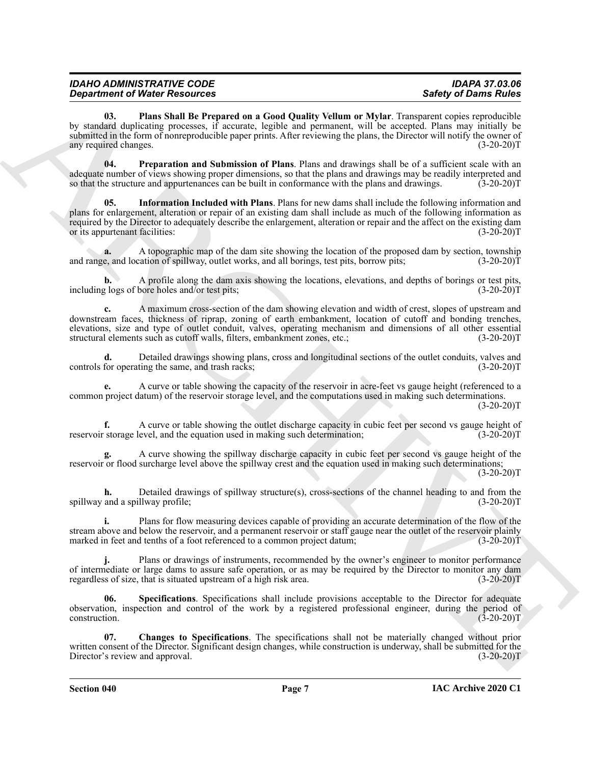| <b>IDAHO ADMINISTRATIVE CODE</b>     | <b>IDAPA 37.03.06</b>       |
|--------------------------------------|-----------------------------|
| <b>Department of Water Resources</b> | <b>Safety of Dams Rules</b> |

<span id="page-6-2"></span>**03. Plans Shall Be Prepared on a Good Quality Vellum or Mylar**. Transparent copies reproducible by standard duplicating processes, if accurate, legible and permanent, will be accepted. Plans may initially be submitted in the form of nonreproducible paper prints. After reviewing the plans, the Director will notify the owner of any required changes. (3-20-20) any required changes.

<span id="page-6-3"></span><span id="page-6-1"></span>**04. Preparation and Submission of Plans**. Plans and drawings shall be of a sufficient scale with an adequate number of views showing proper dimensions, so that the plans and drawings may be readily interpreted and so that the structure and appurtenances can be built in conformance with the plans and drawings. (3-20-20)T

**Sometimes** of Water Newsletters and the results of the state of the state of the state of the state of the state of the state of the state of the state of the state of the state of the state of the state of the state of **05. Information Included with Plans**. Plans for new dams shall include the following information and plans for enlargement, alteration or repair of an existing dam shall include as much of the following information as required by the Director to adequately describe the enlargement, alteration or repair and the affect on the existing dam<br>or its appurtenant facilities: (3-20-20) or its appurtenant facilities:

A topographic map of the dam site showing the location of the proposed dam by section, township cation of spillway, outlet works, and all borings, test pits, borrow pits; (3-20-20)<sup>T</sup> and range, and location of spillway, outlet works, and all borings, test pits, borrow pits;

**b.** A profile along the dam axis showing the locations, elevations, and depths of borings or test pits, including logs of bore holes and/or test pits; (3-20-20)T

**c.** A maximum cross-section of the dam showing elevation and width of crest, slopes of upstream and downstream faces, thickness of riprap, zoning of earth embankment, location of cutoff and bonding trenches, elevations, size and type of outlet conduit, valves, operating mechanism and dimensions of all other essential structural elements such as cutoff walls, filters, embankment zones, etc.; (3-20-20)T

**d.** Detailed drawings showing plans, cross and longitudinal sections of the outlet conduits, valves and controls for operating the same, and trash racks; (3-20-20)T

**e.** A curve or table showing the capacity of the reservoir in acre-feet vs gauge height (referenced to a common project datum) of the reservoir storage level, and the computations used in making such determinations.  $(3-20-20)T$ 

**f.** A curve or table showing the outlet discharge capacity in cubic feet per second vs gauge height of reservoir storage level, and the equation used in making such determination; (3-20-20)T

**g.** A curve showing the spillway discharge capacity in cubic feet per second vs gauge height of the reservoir or flood surcharge level above the spillway crest and the equation used in making such determinations;  $(3-20-20)T$ 

**h.** Detailed drawings of spillway structure(s), cross-sections of the channel heading to and from the spillway and a spillway profile; (3-20-20)T

**i.** Plans for flow measuring devices capable of providing an accurate determination of the flow of the stream above and below the reservoir, and a permanent reservoir or staff gauge near the outlet of the reservoir plainly marked in feet and tenths of a foot referenced to a common project datum; (3-20-20)T

**j.** Plans or drawings of instruments, recommended by the owner's engineer to monitor performance of intermediate or large dams to assure safe operation, or as may be required by the Director to monitor any dam<br>regardless of size, that is situated upstream of a high risk area. (3-20-20) regardless of size, that is situated upstream of a high risk area.

<span id="page-6-4"></span>**06. Specifications**. Specifications shall include provisions acceptable to the Director for adequate observation, inspection and control of the work by a registered professional engineer, during the period of  $\frac{(3-20-20)T}{T}$ 

<span id="page-6-0"></span>**07. Changes to Specifications**. The specifications shall not be materially changed without prior written consent of the Director. Significant design changes, while construction is underway, shall be submitted for the Director's review and approval. (3-20-20)T

**Section 040 Page 7**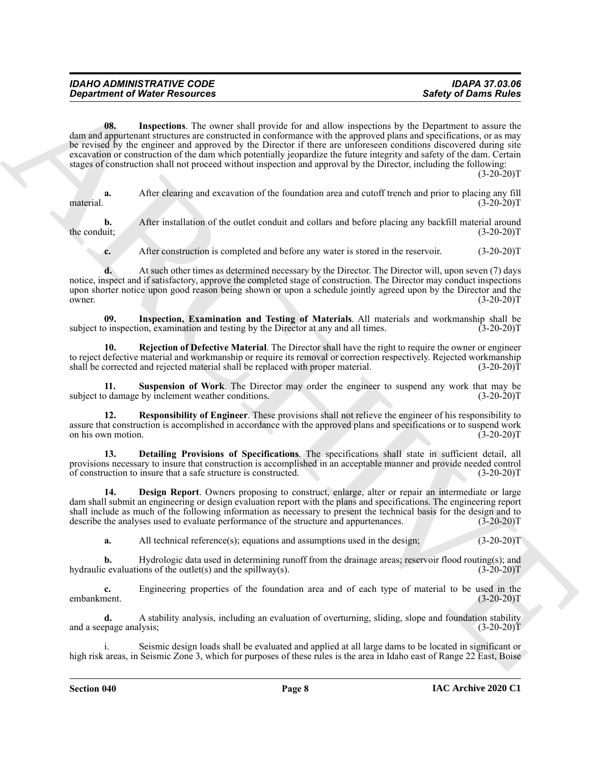<span id="page-7-3"></span>

| <b>IDAPA 37.03.06</b><br><b>Safety of Dams Rules</b> |
|------------------------------------------------------|
|                                                      |

**Constrained of Nickel Resources** Safety of David Materials Constrained Safety of David Material Constrained Constrained Constrained Constrained Constrained Constrained Constrained Constrained Constrained Constrained Cons **08. Inspections**. The owner shall provide for and allow inspections by the Department to assure the dam and appurtenant structures are constructed in conformance with the approved plans and specifications, or as may be revised by the engineer and approved by the Director if there are unforeseen conditions discovered during site excavation or construction of the dam which potentially jeopardize the future integrity and safety of the dam. Certain stages of construction shall not proceed without inspection and approval by the Director, including the following:  $(3-20-20)T$ 

**a.** After clearing and excavation of the foundation area and cutoff trench and prior to placing any fill material. (3-20-20)T

**b.** After installation of the outlet conduit and collars and before placing any backfill material around the conduit; (3-20-20) the conduit;  $(3-20-20)T$ 

<span id="page-7-2"></span>**c.** After construction is completed and before any water is stored in the reservoir. (3-20-20)T

**d.** At such other times as determined necessary by the Director. The Director will, upon seven (7) days notice, inspect and if satisfactory, approve the completed stage of construction. The Director may conduct inspections upon shorter notice upon good reason being shown or upon a schedule jointly agreed upon by the Director and the owner.  $(3-20-20)T$ 

**09.** Inspection, Examination and Testing of Materials. All materials and workmanship shall be birection, examination and testing by the Director at any and all times. (3-20-20) subject to inspection, examination and testing by the Director at any and all times.

<span id="page-7-4"></span>**10. Rejection of Defective Material**. The Director shall have the right to require the owner or engineer to reject defective material and workmanship or require its removal or correction respectively. Rejected workmanship shall be corrected and rejected material shall be replaced with proper material. (3-20-20)T

<span id="page-7-6"></span>**Suspension of Work**. The Director may order the engineer to suspend any work that may be subject to damage by inclement weather conditions. (3-20-20)T

<span id="page-7-5"></span>**12. Responsibility of Engineer**. These provisions shall not relieve the engineer of his responsibility to assure that construction is accomplished in accordance with the approved plans and specifications or to suspend work on his own motion. (3-20-20)T

<span id="page-7-1"></span>**13. Detailing Provisions of Specifications**. The specifications shall state in sufficient detail, all provisions necessary to insure that construction is accomplished in an acceptable manner and provide needed control of construction to insure that a safe structure is constructed. (3-20-20)T

**14. Design Report**. Owners proposing to construct, enlarge, alter or repair an intermediate or large dam shall submit an engineering or design evaluation report with the plans and specifications. The engineering report shall include as much of the following information as necessary to present the technical basis for the design and to describe the analyses used to evaluate performance of the structure and appurtenances. (3-20-20)T

<span id="page-7-0"></span>**a.** All technical reference(s); equations and assumptions used in the design; (3-20-20)T

**b.** Hydrologic data used in determining runoff from the drainage areas; reservoir flood routing(s); and hydraulic evaluations of the outlet(s) and the spillway(s).  $(3-20-20)T$ 

**c.** Engineering properties of the foundation area and of each type of material to be used in the embankment. (3-20-20)T

**d.** A stability analysis, including an evaluation of overturning, sliding, slope and foundation stability and a seepage analysis; (3-20-20)T

Seismic design loads shall be evaluated and applied at all large dams to be located in significant or high risk areas, in Seismic Zone 3, which for purposes of these rules is the area in Idaho east of Range 22 East, Boise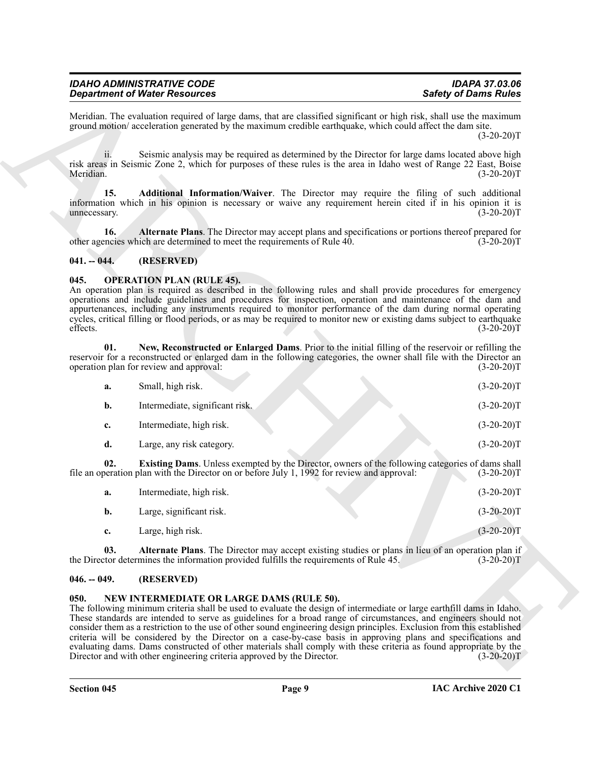#### <span id="page-8-5"></span><span id="page-8-4"></span><span id="page-8-0"></span>**041. -- 044. (RESERVED)**

#### <span id="page-8-10"></span><span id="page-8-7"></span><span id="page-8-1"></span>**045. OPERATION PLAN (RULE 45).**

|                     | <b>Department of Water Resources</b>                                                                                                                                                                                                                                                                                                                                                                                                                                                                                                                                                                                                                                                                                              | <b>Safety of Dams Rules</b> |  |
|---------------------|-----------------------------------------------------------------------------------------------------------------------------------------------------------------------------------------------------------------------------------------------------------------------------------------------------------------------------------------------------------------------------------------------------------------------------------------------------------------------------------------------------------------------------------------------------------------------------------------------------------------------------------------------------------------------------------------------------------------------------------|-----------------------------|--|
|                     | Meridian. The evaluation required of large dams, that are classified significant or high risk, shall use the maximum<br>ground motion/acceleration generated by the maximum credible earthquake, which could affect the dam site.                                                                                                                                                                                                                                                                                                                                                                                                                                                                                                 | $(3-20-20)T$                |  |
| 11.<br>Meridian.    | Seismic analysis may be required as determined by the Director for large dams located above high<br>risk areas in Seismic Zone 2, which for purposes of these rules is the area in Idaho west of Range 22 East, Boise                                                                                                                                                                                                                                                                                                                                                                                                                                                                                                             | $(3-20-20)T$                |  |
| 15.<br>unnecessary. | Additional Information/Waiver. The Director may require the filing of such additional<br>information which in his opinion is necessary or waive any requirement herein cited if in his opinion it is                                                                                                                                                                                                                                                                                                                                                                                                                                                                                                                              | $(3-20-20)T$                |  |
| 16.                 | Alternate Plans. The Director may accept plans and specifications or portions thereof prepared for<br>other agencies which are determined to meet the requirements of Rule 40.                                                                                                                                                                                                                                                                                                                                                                                                                                                                                                                                                    | $(3-20-20)T$                |  |
| $041. - 044.$       | (RESERVED)                                                                                                                                                                                                                                                                                                                                                                                                                                                                                                                                                                                                                                                                                                                        |                             |  |
| 045.<br>effects.    | <b>OPERATION PLAN (RULE 45).</b><br>An operation plan is required as described in the following rules and shall provide procedures for emergency<br>operations and include guidelines and procedures for inspection, operation and maintenance of the dam and<br>appurtenances, including any instruments required to monitor performance of the dam during normal operating<br>cycles, critical filling or flood periods, or as may be required to monitor new or existing dams subject to earthquake                                                                                                                                                                                                                            | $(3-20-20)T$                |  |
| 01.                 | New, Reconstructed or Enlarged Dams. Prior to the initial filling of the reservoir or refilling the<br>reservoir for a reconstructed or enlarged dam in the following categories, the owner shall file with the Director an<br>operation plan for review and approval:                                                                                                                                                                                                                                                                                                                                                                                                                                                            | $(3-20-20)T$                |  |
| a.                  | Small, high risk.                                                                                                                                                                                                                                                                                                                                                                                                                                                                                                                                                                                                                                                                                                                 | $(3-20-20)T$                |  |
| $\mathbf{b}$ .      | Intermediate, significant risk.                                                                                                                                                                                                                                                                                                                                                                                                                                                                                                                                                                                                                                                                                                   | $(3-20-20)T$                |  |
| c.                  | Intermediate, high risk.                                                                                                                                                                                                                                                                                                                                                                                                                                                                                                                                                                                                                                                                                                          | $(3-20-20)T$                |  |
| d.                  | Large, any risk category.                                                                                                                                                                                                                                                                                                                                                                                                                                                                                                                                                                                                                                                                                                         | $(3-20-20)T$                |  |
| 02.                 | Existing Dams. Unless exempted by the Director, owners of the following categories of dams shall<br>file an operation plan with the Director on or before July 1, 1992 for review and approval:                                                                                                                                                                                                                                                                                                                                                                                                                                                                                                                                   | $(3-20-20)T$                |  |
| a.                  | Intermediate, high risk.                                                                                                                                                                                                                                                                                                                                                                                                                                                                                                                                                                                                                                                                                                          | $(3-20-20)T$                |  |
| b.                  | Large, significant risk.                                                                                                                                                                                                                                                                                                                                                                                                                                                                                                                                                                                                                                                                                                          | $(3-20-20)T$                |  |
| c.                  | Large, high risk.                                                                                                                                                                                                                                                                                                                                                                                                                                                                                                                                                                                                                                                                                                                 | $(3-20-20)T$                |  |
| 03.                 | Alternate Plans. The Director may accept existing studies or plans in lieu of an operation plan if<br>the Director determines the information provided fulfills the requirements of Rule 45.                                                                                                                                                                                                                                                                                                                                                                                                                                                                                                                                      | $(3-20-20)T$                |  |
| $046. - 049.$       | (RESERVED)                                                                                                                                                                                                                                                                                                                                                                                                                                                                                                                                                                                                                                                                                                                        |                             |  |
| 050.                | NEW INTERMEDIATE OR LARGE DAMS (RULE 50).<br>The following minimum criteria shall be used to evaluate the design of intermediate or large earthfill dams in Idaho.<br>These standards are intended to serve as guidelines for a broad range of circumstances, and engineers should not<br>consider them as a restriction to the use of other sound engineering design principles. Exclusion from this established<br>criteria will be considered by the Director on a case-by-case basis in approving plans and specifications and<br>evaluating dams. Dams constructed of other materials shall comply with these criteria as found appropriate by the<br>Director and with other engineering criteria approved by the Director. | $(3-20-20)T$                |  |

<span id="page-8-9"></span><span id="page-8-8"></span>

| а.          | Intermediate, high risk. | $(3-20-20)T$ |
|-------------|--------------------------|--------------|
| b.          | Large, significant risk. | $(3-20-20)T$ |
| $c_{\cdot}$ | Large, high risk.        | $(3-20-20)T$ |

#### <span id="page-8-2"></span>**046. -- 049. (RESERVED)**

#### <span id="page-8-6"></span><span id="page-8-3"></span>**050. NEW INTERMEDIATE OR LARGE DAMS (RULE 50).**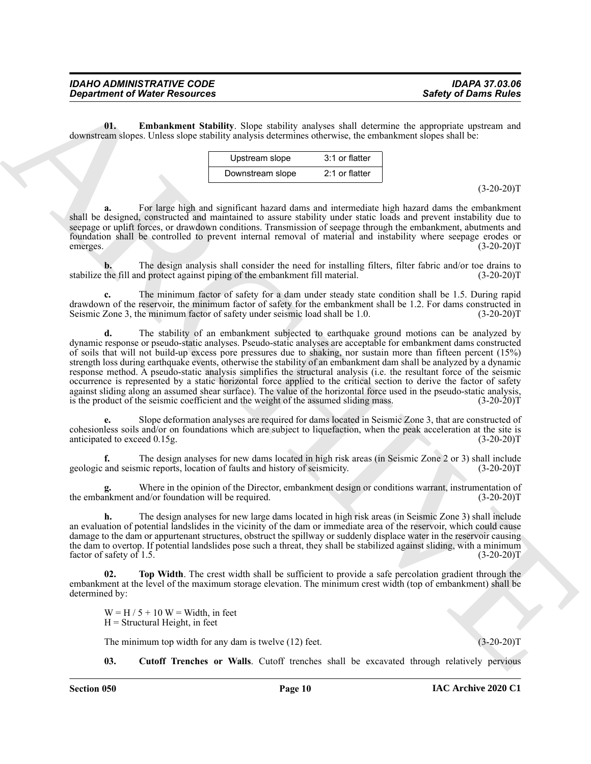<span id="page-9-1"></span>**01. Embankment Stability**. Slope stability analyses shall determine the appropriate upstream and downstream slopes. Unless slope stability analysis determines otherwise, the embankment slopes shall be:

| Upstream slope   | 3:1 or flatter   |
|------------------|------------------|
| Downstream slope | $2:1$ or flatter |

 $(3-20-20)T$ 

**a.** For large high and significant hazard dams and intermediate high hazard dams the embankment shall be designed, constructed and maintained to assure stability under static loads and prevent instability due to seepage or uplift forces, or drawdown conditions. Transmission of seepage through the embankment, abutments and foundation shall be controlled to prevent internal removal of material and instability where seepage erodes or emerges. (3-20-20)T

**b.** The design analysis shall consider the need for installing filters, filter fabric and/or toe drains to the fill and protect against piping of the embankment fill material. (3-20-20) stabilize the fill and protect against piping of the embankment fill material.

**c.** The minimum factor of safety for a dam under steady state condition shall be 1.5. During rapid drawdown of the reservoir, the minimum factor of safety for the embankment shall be 1.2. For dams constructed in<br>Seismic Zone 3, the minimum factor of safety under seismic load shall be 1.0. (3-20-20) Seismic Zone 3, the minimum factor of safety under seismic load shall be 1.0.

**Consideration** of Water Resolution State Collision analysis shall committee and proposed supportion and the second of the second of the second of the second of the second of the second of the second of the second of the **d.** The stability of an embankment subjected to earthquake ground motions can be analyzed by dynamic response or pseudo-static analyses. Pseudo-static analyses are acceptable for embankment dams constructed of soils that will not build-up excess pore pressures due to shaking, nor sustain more than fifteen percent (15%) strength loss during earthquake events, otherwise the stability of an embankment dam shall be analyzed by a dynamic response method. A pseudo-static analysis simplifies the structural analysis (i.e. the resultant force of the seismic occurrence is represented by a static horizontal force applied to the critical section to derive the factor of safety against sliding along an assumed shear surface). The value of the horizontal force used in the pseudo-static analysis, is the product of the seismic coefficient and the weight of the assumed sliding mass. (3-20-20) is the product of the seismic coefficient and the weight of the assumed sliding mass.

**e.** Slope deformation analyses are required for dams located in Seismic Zone 3, that are constructed of cohesionless soils and/or on foundations which are subject to liquefaction, when the peak acceleration at the site is anticipated to exceed 0.15g. (3-20-20)T

**f.** The design analyses for new dams located in high risk areas (in Seismic Zone 2 or 3) shall include geologic and seismic reports, location of faults and history of seismicity. (3-20-20)T

Where in the opinion of the Director, embankment design or conditions warrant, instrumentation of  $and/or$  foundation will be required. (3-20-20)<sup>T</sup> the embankment and/or foundation will be required.

**h.** The design analyses for new large dams located in high risk areas (in Seismic Zone 3) shall include an evaluation of potential landslides in the vicinity of the dam or immediate area of the reservoir, which could cause damage to the dam or appurtenant structures, obstruct the spillway or suddenly displace water in the reservoir causing the dam to overtop. If potential landslides pose such a threat, they shall be stabilized against sliding, with a minimum factor of safety of 1.5. (3-20-20)T

**02. Top Width**. The crest width shall be sufficient to provide a safe percolation gradient through the embankment at the level of the maximum storage elevation. The minimum crest width (top of embankment) shall be determined by:

<span id="page-9-2"></span> $W = H / 5 + 10 W = Width$ , in feet  $H =$  Structural Height, in feet

The minimum top width for any dam is twelve (12) feet. (3-20-20)T

<span id="page-9-0"></span>**03. Cutoff Trenches or Walls**. Cutoff trenches shall be excavated through relatively pervious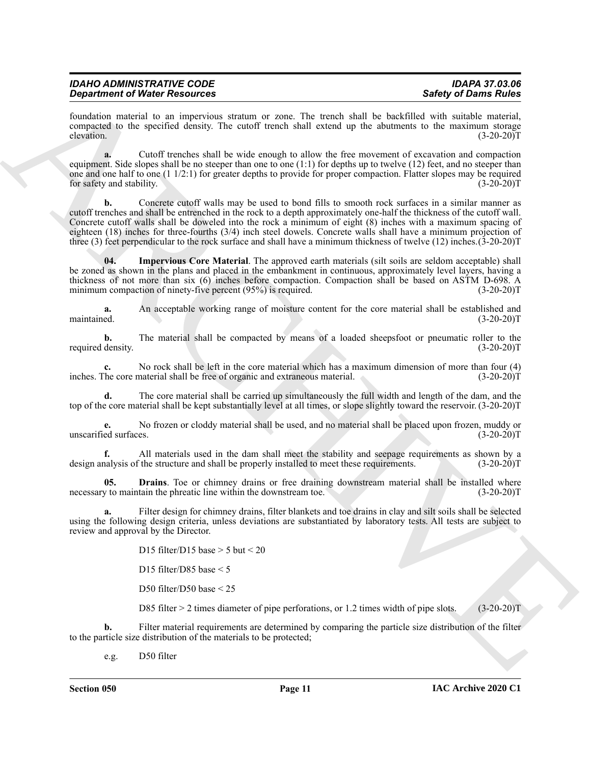| <b>IDAHO ADMINISTRATIVE CODE</b>     | <b>IDAPA 37.03.06</b>       |
|--------------------------------------|-----------------------------|
| <b>Department of Water Resources</b> | <b>Safety of Dams Rules</b> |

foundation material to an impervious stratum or zone. The trench shall be backfilled with suitable material, compacted to the specified density. The cutoff trench shall extend up the abutments to the maximum storage elevation.  $(3-20-20)T$ 

**a.** Cutoff trenches shall be wide enough to allow the free movement of excavation and compaction equipment. Side slopes shall be no steeper than one to one (1:1) for depths up to twelve (12) feet, and no steeper than one and one half to one (1 1/2:1) for greater depths to provide for proper compaction. Flatter slopes may be required for safety and stability. (3-20-20)T

**Experimental Web Procedures** Constitute wave. The temple state of the temple state of the state of the state of the state of the state of the state of the state of the state of the state of the state of the state of the **b.** Concrete cutoff walls may be used to bond fills to smooth rock surfaces in a similar manner as cutoff trenches and shall be entrenched in the rock to a depth approximately one-half the thickness of the cutoff wall. Concrete cutoff walls shall be doweled into the rock a minimum of eight (8) inches with a maximum spacing of eighteen (18) inches for three-fourths (3/4) inch steel dowels. Concrete walls shall have a minimum projection of three (3) feet perpendicular to the rock surface and shall have a minimum thickness of twelve (12) inches.(3-20-20)T

<span id="page-10-1"></span>**04. Impervious Core Material**. The approved earth materials (silt soils are seldom acceptable) shall be zoned as shown in the plans and placed in the embankment in continuous, approximately level layers, having a thickness of not more than six (6) inches before compaction. Compaction shall be based on ASTM D-698. A minimum compaction of ninety-five percent (95%) is required. (3-20-20) (3-20-20) T

**a.** An acceptable working range of moisture content for the core material shall be established and maintained. (3-20-20)T maintained. (3-20-20)T

**b.** The material shall be compacted by means of a loaded sheepsfoot or pneumatic roller to the density.  $(3-20-20)T$ required density.

**c.** No rock shall be left in the core material which has a maximum dimension of more than four (4) The core material shall be free of organic and extraneous material. (3-20-20) inches. The core material shall be free of organic and extraneous material.

**d.** The core material shall be carried up simultaneously the full width and length of the dam, and the top of the core material shall be kept substantially level at all times, or slope slightly toward the reservoir. (3-20-20)T

**e.** No frozen or cloddy material shall be used, and no material shall be placed upon frozen, muddy or ed surfaces. (3-20-20) unscarified surfaces.

**f.** All materials used in the dam shall meet the stability and seepage requirements as shown by a nalysis of the structure and shall be properly installed to meet these requirements. (3-20-20) design analysis of the structure and shall be properly installed to meet these requirements.

<span id="page-10-0"></span>**Drains**. Toe or chimney drains or free draining downstream material shall be installed where tain the phreatic line within the downstream toe. (3-20-20)<sup>T</sup> necessary to maintain the phreatic line within the downstream toe.

**a.** Filter design for chimney drains, filter blankets and toe drains in clay and silt soils shall be selected using the following design criteria, unless deviations are substantiated by laboratory tests. All tests are subject to review and approval by the Director.

D15 filter/D15 base  $> 5$  but  $< 20$ 

D15 filter/D85 base < 5

D50 filter/D50 base < 25

D85 filter > 2 times diameter of pipe perforations, or 1.2 times width of pipe slots. (3-20-20)T

**b.** Filter material requirements are determined by comparing the particle size distribution of the filter to the particle size distribution of the materials to be protected;

e.g. D50 filter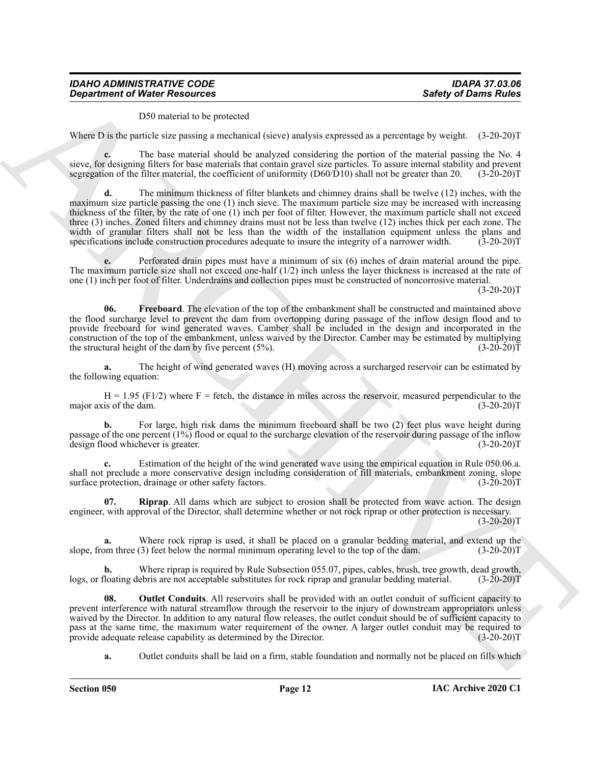D50 material to be protected

Where D is the particle size passing a mechanical (sieve) analysis expressed as a percentage by weight. (3-20-20)T

**c.** The base material should be analyzed considering the portion of the material passing the No. 4 sieve, for designing filters for base materials that contain gravel size particles. To assure internal stability and prevent segregation of the filter material, the coefficient of uniformity (D60/D10) shall not be greater segregation of the filter material, the coefficient of uniformity  $(D60/D10)$  shall not be greater than 20.

**Superintent of Ninter Research extends the probability and present and a state of David Rules<br>
We are 1) with a probability and such consideration of the state of the state of the state of the state of the state of the s d.** The minimum thickness of filter blankets and chimney drains shall be twelve (12) inches, with the maximum size particle passing the one (1) inch sieve. The maximum particle size may be increased with increasing thickness of the filter, by the rate of one (1) inch per foot of filter. However, the maximum particle shall not exceed three (3) inches. Zoned filters and chimney drains must not be less than twelve (12) inches thick per each zone. The width of granular filters shall not be less than the width of the installation equipment unless the plans and specifications include construction procedures adequate to insure the integrity of a narrower width. (3-20-20)

**e.** Perforated drain pipes must have a minimum of six (6) inches of drain material around the pipe. The maximum particle size shall not exceed one-half (1/2) inch unless the layer thickness is increased at the rate of one (1) inch per foot of filter. Underdrains and collection pipes must be constructed of noncorrosive material.

 $(3-20-20)T$ 

<span id="page-11-0"></span>**06. Freeboard**. The elevation of the top of the embankment shall be constructed and maintained above the flood surcharge level to prevent the dam from overtopping during passage of the inflow design flood and to provide freeboard for wind generated waves. Camber shall be included in the design and incorporated in the construction of the top of the embankment, unless waived by the Director. Camber may be estimated by multiplying the structural height of the dam by five percent (5%). the structural height of the dam by five percent  $(5\%)$ .

**a.** The height of wind generated waves (H) moving across a surcharged reservoir can be estimated by the following equation:

 $H = 1.95$  (F1/2) where F = fetch, the distance in miles across the reservoir, measured perpendicular to the distance is of the dam. (3-20-20) major axis of the dam.

**b.** For large, high risk dams the minimum freeboard shall be two (2) feet plus wave height during passage of the one percent (1%) flood or equal to the surcharge elevation of the reservoir during passage of the inflow<br>design flood whichever is greater. (3-20-20) design flood whichever is greater.

**c.** Estimation of the height of the wind generated wave using the empirical equation in Rule 050.06.a. shall not preclude a more conservative design including consideration of fill materials, embankment zoning, slope surface protection, drainage or other safety factors. (3-20-20)T

<span id="page-11-2"></span>**Riprap.** All dams which are subject to erosion shall be protected from wave action. The design engineer, with approval of the Director, shall determine whether or not rock riprap or other protection is necessary.  $(3-20-20)T$ 

**a.** Where rock riprap is used, it shall be placed on a granular bedding material, and extend up the om three (3) feet below the normal minimum operating level to the top of the dam. (3-20-20)<sup>T</sup> slope, from three (3) feet below the normal minimum operating level to the top of the dam.

Where riprap is required by Rule Subsection 055.07, pipes, cables, brush, tree growth, dead growth, ebris are not acceptable substitutes for rock riprap and granular bedding material. (3-20-20)T logs, or floating debris are not acceptable substitutes for rock riprap and granular bedding material.

<span id="page-11-1"></span>**08.** Outlet Conduits. All reservoirs shall be provided with an outlet conduit of sufficient capacity to prevent interference with natural streamflow through the reservoir to the injury of downstream appropriators unless waived by the Director. In addition to any natural flow releases, the outlet conduit should be of sufficient capacity to pass at the same time, the maximum water requirement of the owner. A larger outlet conduit may be required to provide adequate release capability as determined by the Director. (3-20-20) provide adequate release capability as determined by the Director.

**a.** Outlet conduits shall be laid on a firm, stable foundation and normally not be placed on fills which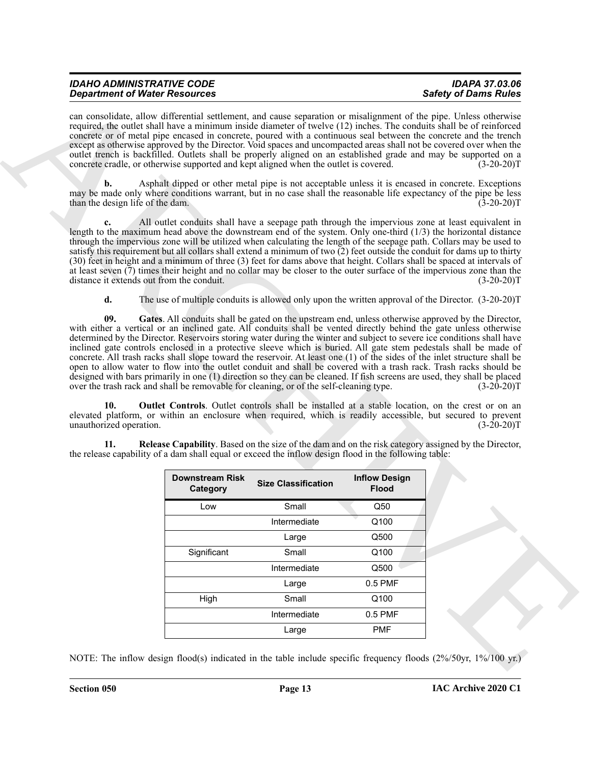<span id="page-12-2"></span><span id="page-12-1"></span><span id="page-12-0"></span>

|                                        | can consolidate, allow differential settlement, and cause separation or misalignment of the pipe. Unless otherwise<br>required, the outlet shall have a minimum inside diameter of twelve (12) inches. The conduits shall be of reinforced<br>concrete or of metal pipe encased in concrete, poured with a continuous seal between the concrete and the trench<br>except as otherwise approved by the Director. Void spaces and uncompacted areas shall not be covered over when the<br>outlet trench is backfilled. Outlets shall be properly aligned on an established grade and may be supported on a<br>concrete cradle, or otherwise supported and kept aligned when the outlet is covered.                                                                                                            |                            |                      | $(3-20-20)T$                 |
|----------------------------------------|-------------------------------------------------------------------------------------------------------------------------------------------------------------------------------------------------------------------------------------------------------------------------------------------------------------------------------------------------------------------------------------------------------------------------------------------------------------------------------------------------------------------------------------------------------------------------------------------------------------------------------------------------------------------------------------------------------------------------------------------------------------------------------------------------------------|----------------------------|----------------------|------------------------------|
| b.<br>than the design life of the dam. | Asphalt dipped or other metal pipe is not acceptable unless it is encased in concrete. Exceptions<br>may be made only where conditions warrant, but in no case shall the reasonable life expectancy of the pipe be less                                                                                                                                                                                                                                                                                                                                                                                                                                                                                                                                                                                     |                            |                      | $(3-20-20)T$                 |
| c.                                     | All outlet conduits shall have a seepage path through the impervious zone at least equivalent in<br>length to the maximum head above the downstream end of the system. Only one-third $(1/3)$ the horizontal distance<br>through the impervious zone will be utilized when calculating the length of the seepage path. Collars may be used to<br>satisfy this requirement but all collars shall extend a minimum of two (2) feet outside the conduit for dams up to thirty<br>(30) feet in height and a minimum of three (3) feet for dams above that height. Collars shall be spaced at intervals of<br>at least seven $(7)$ times their height and no collar may be closer to the outer surface of the impervious zone than the<br>distance it extends out from the conduit.                              |                            |                      | $(3-20-20)T$                 |
| d.                                     | The use of multiple conduits is allowed only upon the written approval of the Director. (3-20-20)T                                                                                                                                                                                                                                                                                                                                                                                                                                                                                                                                                                                                                                                                                                          |                            |                      |                              |
|                                        | inclined gate controls enclosed in a protective sleeve which is buried. All gate stem pedestals shall be made of<br>concrete. All trash racks shall slope toward the reservoir. At least one (1) of the sides of the inlet structure shall be                                                                                                                                                                                                                                                                                                                                                                                                                                                                                                                                                               |                            |                      |                              |
| 10.<br>unauthorized operation.<br>11.  | open to allow water to flow into the outlet conduit and shall be covered with a trash rack. Trash racks should be<br>designed with bars primarily in one (1) direction so they can be cleaned. If fish screens are used, they shall be placed<br>over the trash rack and shall be removable for cleaning, or of the self-cleaning type.<br><b>Outlet Controls.</b> Outlet controls shall be installed at a stable location, on the crest or on an<br>elevated platform, or within an enclosure when required, which is readily accessible, but secured to prevent<br>Release Capability. Based on the size of the dam and on the risk category assigned by the Director,<br>the release capability of a dam shall equal or exceed the inflow design flood in the following table:<br><b>Downstream Risk</b> | <b>Size Classification</b> | <b>Inflow Design</b> | $(3-20-20)T$<br>$(3-20-20)T$ |
|                                        | Category                                                                                                                                                                                                                                                                                                                                                                                                                                                                                                                                                                                                                                                                                                                                                                                                    |                            | <b>Flood</b>         |                              |
|                                        | Low                                                                                                                                                                                                                                                                                                                                                                                                                                                                                                                                                                                                                                                                                                                                                                                                         | Small                      | Q50                  |                              |
|                                        |                                                                                                                                                                                                                                                                                                                                                                                                                                                                                                                                                                                                                                                                                                                                                                                                             | Intermediate               | Q100                 |                              |
|                                        |                                                                                                                                                                                                                                                                                                                                                                                                                                                                                                                                                                                                                                                                                                                                                                                                             | Large                      | Q500                 |                              |
|                                        | Significant                                                                                                                                                                                                                                                                                                                                                                                                                                                                                                                                                                                                                                                                                                                                                                                                 | Small                      | Q100                 |                              |
|                                        |                                                                                                                                                                                                                                                                                                                                                                                                                                                                                                                                                                                                                                                                                                                                                                                                             | Intermediate<br>Large      | Q500<br>$0.5$ PMF    |                              |
|                                        | High                                                                                                                                                                                                                                                                                                                                                                                                                                                                                                                                                                                                                                                                                                                                                                                                        | Small                      | Q100                 |                              |
|                                        |                                                                                                                                                                                                                                                                                                                                                                                                                                                                                                                                                                                                                                                                                                                                                                                                             | Intermediate               | $0.5$ PMF            |                              |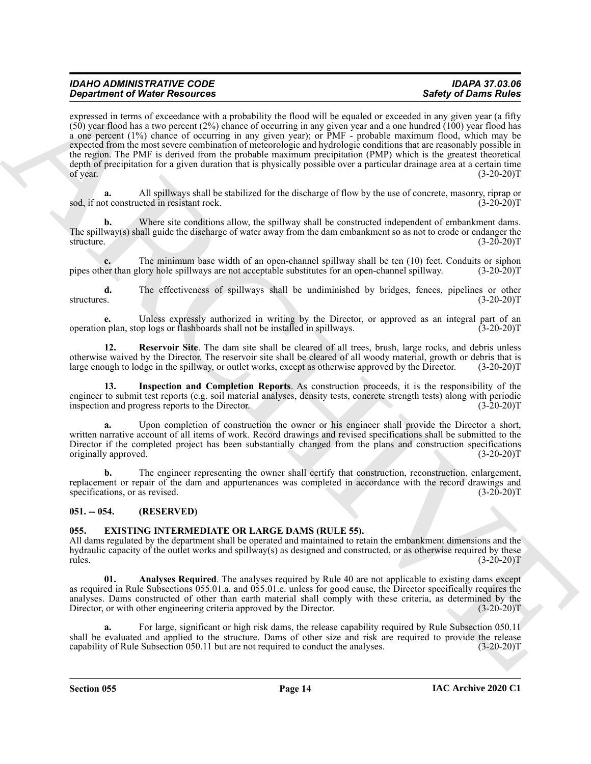**Construction of Water Research entropy that a state and so a state of the set of Darma Research (Sin Construction 1998)<br>
(Sin and Social Construction 2011) and Social Construction 2011 and Social Construction 2012 and So** expressed in terms of exceedance with a probability the flood will be equaled or exceeded in any given year (a fifty  $(50)$  year flood has a two percent (2%) chance of occurring in any given year and a one hundred (100) year flood has a one percent (1%) chance of occurring in any given year); or PMF - probable maximum flood, which may be expected from the most severe combination of meteorologic and hydrologic conditions that are reasonably possible in the region. The PMF is derived from the probable maximum precipitation (PMP) which is the greatest theoretical depth of precipitation for a given duration that is physically possible over a particular drainage area at a certain time of year. (3-20-20) of year.  $(3-20-20)T$ 

**a.** All spillways shall be stabilized for the discharge of flow by the use of concrete, masonry, riprap or sod, if not constructed in resistant rock. (3-20-20)T

**b.** Where site conditions allow, the spillway shall be constructed independent of embankment dams. The spillway(s) shall guide the discharge of water away from the dam embankment so as not to erode or endanger the structure. (3-20-20)T

**c.** The minimum base width of an open-channel spillway shall be ten (10) feet. Conduits or siphon ner than glory hole spillways are not acceptable substitutes for an open-channel spillway. (3-20-20)T pipes other than glory hole spillways are not acceptable substitutes for an open-channel spillway.

**d.** The effectiveness of spillways shall be undiminished by bridges, fences, pipelines or other s. (3-20-20) structures. (3-20-20)T

**e.** Unless expressly authorized in writing by the Director, or approved as an integral part of an plan, stop logs or flashboards shall not be installed in spillways. (3-20-20) operation plan, stop logs or flashboards shall not be installed in spillways.

<span id="page-13-5"></span>**12. Reservoir Site**. The dam site shall be cleared of all trees, brush, large rocks, and debris unless otherwise waived by the Director. The reservoir site shall be cleared of all woody material, growth or debris that is large enough to lodge in the spillway, or outlet works, except as otherwise approved by the Director. (3-20-20)T

<span id="page-13-4"></span>**13. Inspection and Completion Reports**. As construction proceeds, it is the responsibility of the engineer to submit test reports (e.g. soil material analyses, density tests, concrete strength tests) along with periodic inspection and progress reports to the Director. (3-20-20) inspection and progress reports to the Director.

**a.** Upon completion of construction the owner or his engineer shall provide the Director a short, written narrative account of all items of work. Record drawings and revised specifications shall be submitted to the Director if the completed project has been substantially changed from the plans and construction specifications originally approved. (3-20-20)T

**b.** The engineer representing the owner shall certify that construction, reconstruction, enlargement, replacement or repair of the dam and appurtenances was completed in accordance with the record drawings and specifications, or as revised. (3-20-20) specifications, or as revised.

#### <span id="page-13-0"></span>**051. -- 054. (RESERVED)**

#### <span id="page-13-2"></span><span id="page-13-1"></span>**055. EXISTING INTERMEDIATE OR LARGE DAMS (RULE 55).**

All dams regulated by the department shall be operated and maintained to retain the embankment dimensions and the hydraulic capacity of the outlet works and spillway(s) as designed and constructed, or as otherwise required by these  $r_{\text{t}}$  (3-20-20)T

<span id="page-13-3"></span>**01. Analyses Required**. The analyses required by Rule 40 are not applicable to existing dams except as required in Rule Subsections 055.01.a. and 055.01.e. unless for good cause, the Director specifically requires the analyses. Dams constructed of other than earth material shall comply with these criteria, as determined by the Director, or with other engineering criteria approved by the Director. (3-20-20)T

For large, significant or high risk dams, the release capability required by Rule Subsection 050.11 shall be evaluated and applied to the structure. Dams of other size and risk are required to provide the release capability of Rule Subsection 050.11 but are not required to conduct the analyses. (3-20-20) capability of Rule Subsection 050.11 but are not required to conduct the analyses.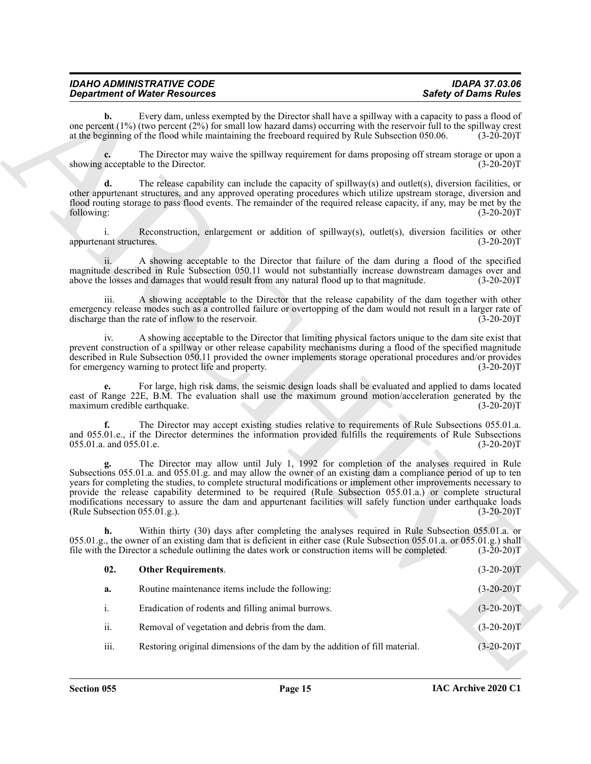<span id="page-14-0"></span>

| <b>IDAHO ADMINISTRATIVE CODE</b>     | IDAPA 37.03.06              |
|--------------------------------------|-----------------------------|
| <b>Department of Water Resources</b> | <b>Safety of Dams Rules</b> |

|                                    | <b>Department of Water Resources</b>                                                                                                                                                                                                                                                                                                                                                                                                                                                                                                                                   | <b>Safety of Dams Rules</b> |
|------------------------------------|------------------------------------------------------------------------------------------------------------------------------------------------------------------------------------------------------------------------------------------------------------------------------------------------------------------------------------------------------------------------------------------------------------------------------------------------------------------------------------------------------------------------------------------------------------------------|-----------------------------|
| b.                                 | Every dam, unless exempted by the Director shall have a spillway with a capacity to pass a flood of<br>one percent $(1%)$ (two percent $(2%)$ for small low hazard dams) occurring with the reservoir full to the spillway crest<br>at the beginning of the flood while maintaining the freeboard required by Rule Subsection 050.06.                                                                                                                                                                                                                                  | $(3-20-20)T$                |
|                                    | The Director may waive the spillway requirement for dams proposing off stream storage or upon a<br>showing acceptable to the Director.                                                                                                                                                                                                                                                                                                                                                                                                                                 | $(3-20-20)T$                |
| d.<br>following:                   | The release capability can include the capacity of spillway(s) and outlet(s), diversion facilities, or<br>other appurtenant structures, and any approved operating procedures which utilize upstream storage, diversion and<br>flood routing storage to pass flood events. The remainder of the required release capacity, if any, may be met by the                                                                                                                                                                                                                   | $(3-20-20)T$                |
| i.<br>appurtenant structures.      | Reconstruction, enlargement or addition of spillway(s), outlet(s), diversion facilities or other                                                                                                                                                                                                                                                                                                                                                                                                                                                                       | $(3-20-20)T$                |
| 11.                                | A showing acceptable to the Director that failure of the dam during a flood of the specified<br>magnitude described in Rule Subsection 050.11 would not substantially increase downstream damages over and<br>above the losses and damages that would result from any natural flood up to that magnitude.                                                                                                                                                                                                                                                              | $(3-20-20)T$                |
| iii.                               | A showing acceptable to the Director that the release capability of the dam together with other<br>emergency release modes such as a controlled failure or overtopping of the dam would not result in a larger rate of<br>discharge than the rate of inflow to the reservoir.                                                                                                                                                                                                                                                                                          | $(3-20-20)T$                |
| iv.                                | A showing acceptable to the Director that limiting physical factors unique to the dam site exist that<br>prevent construction of a spillway or other release capability mechanisms during a flood of the specified magnitude<br>described in Rule Subsection 050.11 provided the owner implements storage operational procedures and/or provides<br>for emergency warning to protect life and property.                                                                                                                                                                | $(3-20-20)T$                |
| е.<br>maximum credible earthquake. | For large, high risk dams, the seismic design loads shall be evaluated and applied to dams located<br>east of Range 22E, B.M. The evaluation shall use the maximum ground motion/acceleration generated by the                                                                                                                                                                                                                                                                                                                                                         | $(3-20-20)T$                |
| f.<br>055.01.a. and 055.01.e.      | The Director may accept existing studies relative to requirements of Rule Subsections 055.01.a.<br>and 055.01.e., if the Director determines the information provided fulfills the requirements of Rule Subsections                                                                                                                                                                                                                                                                                                                                                    | $(3-20-20)T$                |
| (Rule Subsection 055.01.g.).       | The Director may allow until July 1, 1992 for completion of the analyses required in Rule<br>Subsections 055.01.a. and 055.01.g. and may allow the owner of an existing dam a compliance period of up to ten<br>years for completing the studies, to complete structural modifications or implement other improvements necessary to<br>provide the release capability determined to be required (Rule Subsection 055.01.a.) or complete structural<br>modifications necessary to assure the dam and appurtenant facilities will safely function under earthquake loads | $(3-20-20)T$                |
| h.                                 | Within thirty (30) days after completing the analyses required in Rule Subsection 055.01.a. or<br>055.01.g., the owner of an existing dam that is deficient in either case (Rule Subsection 055.01.a. or 055.01.g.) shall<br>file with the Director a schedule outlining the dates work or construction items will be completed.                                                                                                                                                                                                                                       | $(3-20-20)T$                |
| 02.                                | <b>Other Requirements.</b>                                                                                                                                                                                                                                                                                                                                                                                                                                                                                                                                             | $(3-20-20)T$                |
| a.                                 | Routine maintenance items include the following:                                                                                                                                                                                                                                                                                                                                                                                                                                                                                                                       | $(3-20-20)T$                |
| i.                                 | Eradication of rodents and filling animal burrows.                                                                                                                                                                                                                                                                                                                                                                                                                                                                                                                     | $(3-20-20)T$                |
| ii.                                | Removal of vegetation and debris from the dam.                                                                                                                                                                                                                                                                                                                                                                                                                                                                                                                         | $(3-20-20)T$                |
|                                    |                                                                                                                                                                                                                                                                                                                                                                                                                                                                                                                                                                        |                             |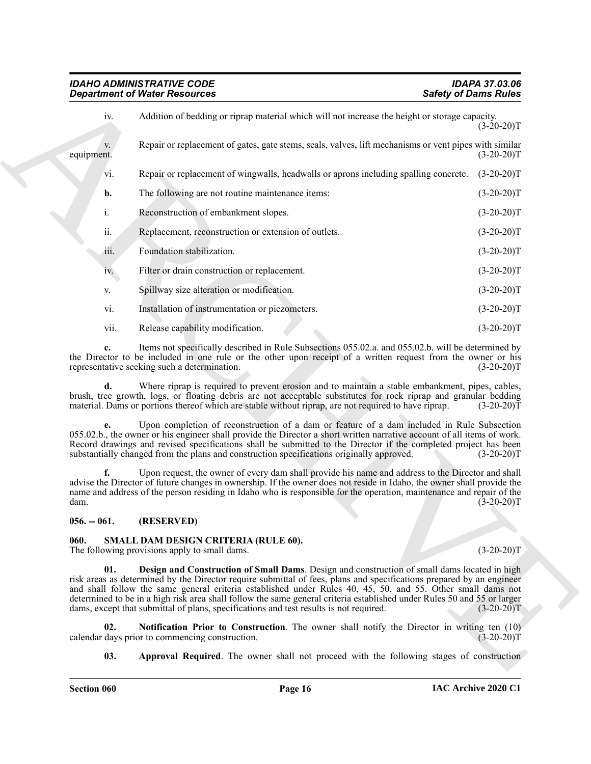|                  | <b>Department of Water Resources</b>                                                                                                                                                                                                                                                                                                                                                                                                                                                                                                                     | <b>Safety of Dams Rules</b> |
|------------------|----------------------------------------------------------------------------------------------------------------------------------------------------------------------------------------------------------------------------------------------------------------------------------------------------------------------------------------------------------------------------------------------------------------------------------------------------------------------------------------------------------------------------------------------------------|-----------------------------|
| iv.              | Addition of bedding or riprap material which will not increase the height or storage capacity.                                                                                                                                                                                                                                                                                                                                                                                                                                                           | $(3-20-20)T$                |
| V.<br>equipment. | Repair or replacement of gates, gate stems, seals, valves, lift mechanisms or vent pipes with similar                                                                                                                                                                                                                                                                                                                                                                                                                                                    | $(3-20-20)T$                |
| vi.              | Repair or replacement of wingwalls, headwalls or aprons including spalling concrete.                                                                                                                                                                                                                                                                                                                                                                                                                                                                     | $(3-20-20)T$                |
| b.               | The following are not routine maintenance items:                                                                                                                                                                                                                                                                                                                                                                                                                                                                                                         | $(3-20-20)T$                |
| i.               | Reconstruction of embankment slopes.                                                                                                                                                                                                                                                                                                                                                                                                                                                                                                                     | $(3-20-20)T$                |
| ii.              | Replacement, reconstruction or extension of outlets.                                                                                                                                                                                                                                                                                                                                                                                                                                                                                                     | $(3-20-20)T$                |
| 111.             | Foundation stabilization.                                                                                                                                                                                                                                                                                                                                                                                                                                                                                                                                | $(3-20-20)T$                |
| iv.              | Filter or drain construction or replacement.                                                                                                                                                                                                                                                                                                                                                                                                                                                                                                             | $(3-20-20)T$                |
| V.               | Spillway size alteration or modification.                                                                                                                                                                                                                                                                                                                                                                                                                                                                                                                | $(3-20-20)T$                |
| vi.              | Installation of instrumentation or piezometers.                                                                                                                                                                                                                                                                                                                                                                                                                                                                                                          | $(3-20-20)T$                |
| vii.             | Release capability modification.                                                                                                                                                                                                                                                                                                                                                                                                                                                                                                                         | $(3-20-20)T$                |
|                  | Items not specifically described in Rule Subsections 055.02.a. and 055.02.b. will be determined by<br>the Director to be included in one rule or the other upon receipt of a written request from the owner or his<br>representative seeking such a determination.                                                                                                                                                                                                                                                                                       | $(3-20-20)T$                |
| d.               | Where riprap is required to prevent erosion and to maintain a stable embankment, pipes, cables,<br>brush, tree growth, logs, or floating debris are not acceptable substitutes for rock riprap and granular bedding<br>material. Dams or portions thereof which are stable without riprap, are not required to have riprap.                                                                                                                                                                                                                              | $(3-20-20)T$                |
| e.               | Upon completion of reconstruction of a dam or feature of a dam included in Rule Subsection<br>055.02.b., the owner or his engineer shall provide the Director a short written narrative account of all items of work.<br>Record drawings and revised specifications shall be submitted to the Director if the completed project has been<br>substantially changed from the plans and construction specifications originally approved.                                                                                                                    | $(3-20-20)T$                |
| f.<br>dam.       | Upon request, the owner of every dam shall provide his name and address to the Director and shall<br>advise the Director of future changes in ownership. If the owner does not reside in Idaho, the owner shall provide the<br>name and address of the person residing in Idaho who is responsible for the operation, maintenance and repair of the                                                                                                                                                                                                      | $(3-20-20)T$                |
| $056. - 061.$    | (RESERVED)                                                                                                                                                                                                                                                                                                                                                                                                                                                                                                                                               |                             |
| 060.             | SMALL DAM DESIGN CRITERIA (RULE 60).<br>The following provisions apply to small dams.                                                                                                                                                                                                                                                                                                                                                                                                                                                                    | $(3-20-20)T$                |
| 01.              | Design and Construction of Small Dams. Design and construction of small dams located in high<br>risk areas as determined by the Director require submittal of fees, plans and specifications prepared by an engineer<br>and shall follow the same general criteria established under Rules 40, 45, 50, and 55. Other small dams not<br>determined to be in a high risk area shall follow the same general criteria established under Rules 50 and 55 or larger<br>dams, except that submittal of plans, specifications and test results is not required. | $(3-20-20)T$                |
| 02.              | <b>Notification Prior to Construction.</b> The owner shall notify the Director in writing ten (10)<br>calendar days prior to commencing construction.                                                                                                                                                                                                                                                                                                                                                                                                    | $(3-20-20)T$                |
|                  | <b>Approval Required.</b> The owner shall not proceed with the following stages of construction                                                                                                                                                                                                                                                                                                                                                                                                                                                          |                             |

#### <span id="page-15-0"></span>**056. -- 061. (RESERVED)**

# <span id="page-15-5"></span><span id="page-15-4"></span><span id="page-15-3"></span><span id="page-15-2"></span><span id="page-15-1"></span>**060. SMALL DAM DESIGN CRITERIA (RULE 60).**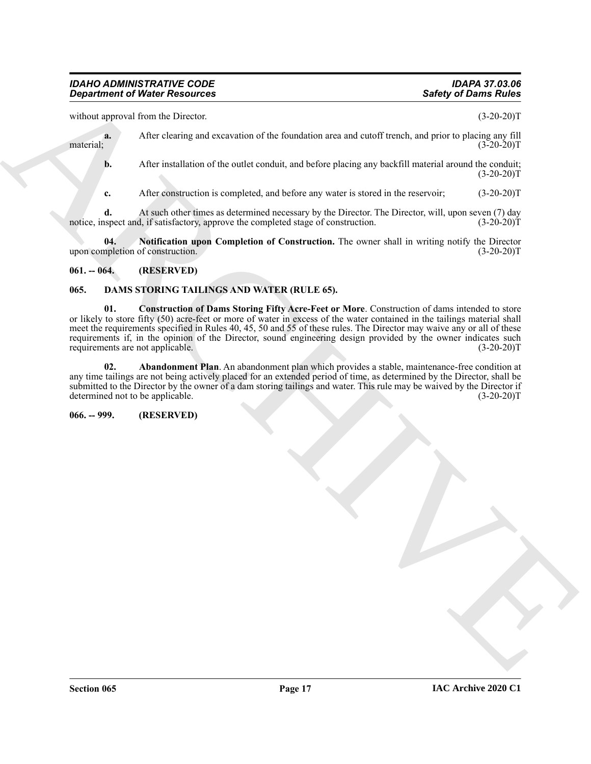without approval from the Director. (3-20-20)T

**a.** After clearing and excavation of the foundation area and cutoff trench, and prior to placing any fill<br>
(3-20-20) material;  $(3-20-20)T$ 

**b.** After installation of the outlet conduit, and before placing any backfill material around the conduit;  $(3-20-20)T$ 

<span id="page-16-6"></span>**c.** After construction is completed, and before any water is stored in the reservoir; (3-20-20)T

**d.** At such other times as determined necessary by the Director. The Director, will, upon seven (7) day uspect and, if satisfactory, approve the completed stage of construction. (3-20-20)<sup>T</sup> notice, inspect and, if satisfactory, approve the completed stage of construction.

**Notification upon Completion of Construction.** The owner shall in writing notify the Director upon completion of construction. (3-20-20)T

<span id="page-16-0"></span>**061. -- 064. (RESERVED)**

#### <span id="page-16-5"></span><span id="page-16-3"></span><span id="page-16-1"></span>**065. DAMS STORING TAILINGS AND WATER (RULE 65).**

**Experiment of Nickel Resolution**<br>
Subseq in David Sides<br>
equilibrium of the characteristic of the functions and and content to calculate properties<br>
and the characteristic of the functions and and characterize content in **01. Construction of Dams Storing Fifty Acre-Feet or More**. Construction of dams intended to store or likely to store fifty (50) acre-feet or more of water in excess of the water contained in the tailings material shall meet the requirements specified in Rules 40, 45, 50 and 55 of these rules. The Director may waive any or all of these requirements if, in the opinion of the Director, sound engineering design provided by the owner indicates such<br>requirements are not applicable. (3-20-20)T requirements are not applicable.

<span id="page-16-4"></span>**02. Abandonment Plan**. An abandonment plan which provides a stable, maintenance-free condition at any time tailings are not being actively placed for an extended period of time, as determined by the Director, shall be submitted to the Director by the owner of a dam storing tailings and water. This rule may be waived by the Director if determined not to be applicable. (3-20-20)T

<span id="page-16-2"></span>**066. -- 999. (RESERVED)**